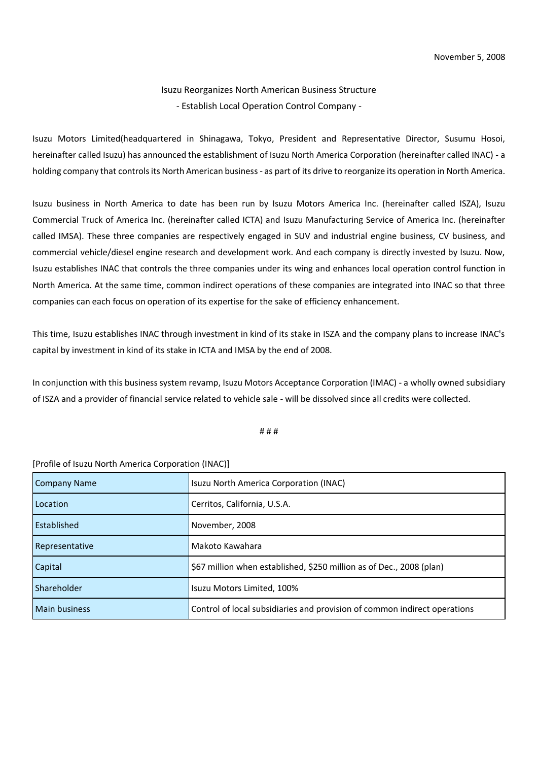## Isuzu Reorganizes North American Business Structure - Establish Local Operation Control Company -

Isuzu Motors Limited(headquartered in Shinagawa, Tokyo, President and Representative Director, Susumu Hosoi, hereinafter called Isuzu) has announced the establishment of Isuzu North America Corporation (hereinafter called INAC) - a holding company that controls its North American business - as part of its drive to reorganize its operation in North America.

Isuzu business in North America to date has been run by Isuzu Motors America Inc. (hereinafter called ISZA), Isuzu Commercial Truck of America Inc. (hereinafter called ICTA) and Isuzu Manufacturing Service of America Inc. (hereinafter called IMSA). These three companies are respectively engaged in SUV and industrial engine business, CV business, and commercial vehicle/diesel engine research and development work. And each company is directly invested by Isuzu. Now, Isuzu establishes INAC that controls the three companies under its wing and enhances local operation control function in North America. At the same time, common indirect operations of these companies are integrated into INAC so that three companies can each focus on operation of its expertise for the sake of efficiency enhancement.

This time, Isuzu establishes INAC through investment in kind of its stake in ISZA and the company plans to increase INAC's capital by investment in kind of its stake in ICTA and IMSA by the end of 2008.

In conjunction with this business system revamp, Isuzu Motors Acceptance Corporation (IMAC) - a wholly owned subsidiary of ISZA and a provider of financial service related to vehicle sale - will be dissolved since all credits were collected.

## # # #

## [Profile of Isuzu North America Corporation (INAC)]

| <b>Company Name</b>  | Isuzu North America Corporation (INAC)                                    |
|----------------------|---------------------------------------------------------------------------|
| Location             | Cerritos, California, U.S.A.                                              |
| Established          | November, 2008                                                            |
| Representative       | Makoto Kawahara                                                           |
| Capital              | \$67 million when established, \$250 million as of Dec., 2008 (plan)      |
| Shareholder          | Isuzu Motors Limited, 100%                                                |
| <b>Main business</b> | Control of local subsidiaries and provision of common indirect operations |